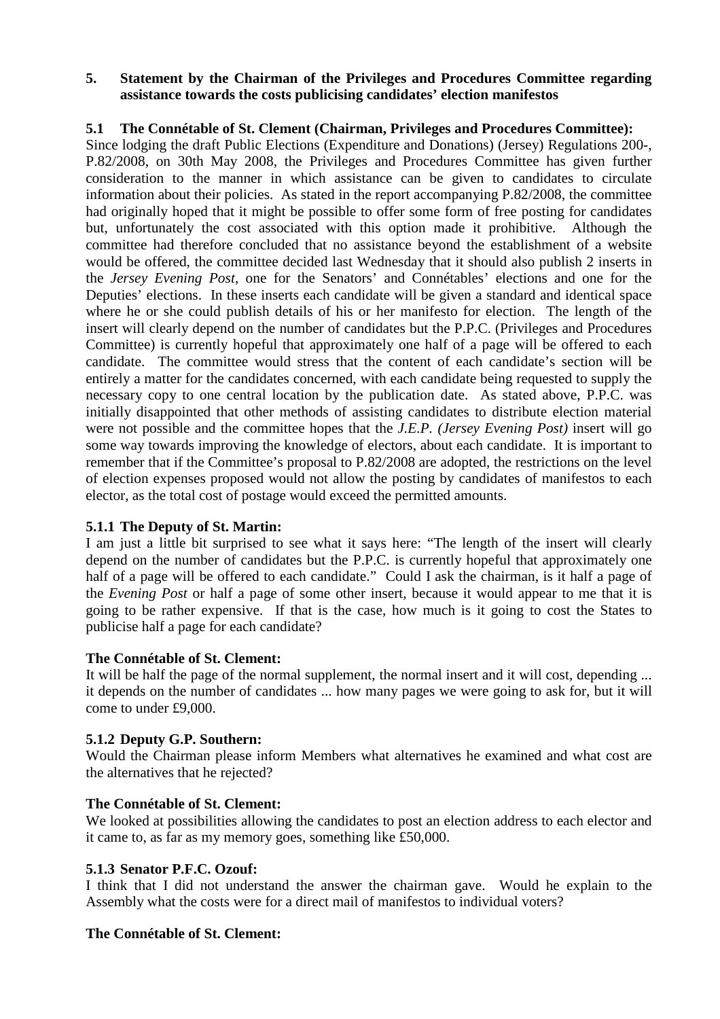#### **5. Statement by the Chairman of the Privileges and Procedures Committee regarding assistance towards the costs publicising candidates' election manifestos**

### **5.1 The Connétable of St. Clement (Chairman, Privileges and Procedures Committee):**

Since lodging the draft Public Elections (Expenditure and Donations) (Jersey) Regulations 200-, P.82/2008, on 30th May 2008, the Privileges and Procedures Committee has given further consideration to the manner in which assistance can be given to candidates to circulate information about their policies. As stated in the report accompanying P.82/2008, the committee had originally hoped that it might be possible to offer some form of free posting for candidates but, unfortunately the cost associated with this option made it prohibitive. Although the committee had therefore concluded that no assistance beyond the establishment of a website would be offered, the committee decided last Wednesday that it should also publish 2 inserts in the *Jersey Evening Post*, one for the Senators' and Connétables' elections and one for the Deputies' elections. In these inserts each candidate will be given a standard and identical space where he or she could publish details of his or her manifesto for election. The length of the insert will clearly depend on the number of candidates but the P.P.C. (Privileges and Procedures Committee) is currently hopeful that approximately one half of a page will be offered to each candidate. The committee would stress that the content of each candidate's section will be entirely a matter for the candidates concerned, with each candidate being requested to supply the necessary copy to one central location by the publication date. As stated above, P.P.C. was initially disappointed that other methods of assisting candidates to distribute election material were not possible and the committee hopes that the *J.E.P. (Jersey Evening Post)* insert will go some way towards improving the knowledge of electors, about each candidate. It is important to remember that if the Committee's proposal to P.82/2008 are adopted, the restrictions on the level of election expenses proposed would not allow the posting by candidates of manifestos to each elector, as the total cost of postage would exceed the permitted amounts.

### **5.1.1 The Deputy of St. Martin:**

I am just a little bit surprised to see what it says here: "The length of the insert will clearly depend on the number of candidates but the P.P.C. is currently hopeful that approximately one half of a page will be offered to each candidate." Could I ask the chairman, is it half a page of the *Evening Post* or half a page of some other insert, because it would appear to me that it is going to be rather expensive. If that is the case, how much is it going to cost the States to publicise half a page for each candidate?

### **The Connétable of St. Clement:**

It will be half the page of the normal supplement, the normal insert and it will cost, depending ... it depends on the number of candidates ... how many pages we were going to ask for, but it will come to under £9,000.

# **5.1.2 Deputy G.P. Southern:**

Would the Chairman please inform Members what alternatives he examined and what cost are the alternatives that he rejected?

### **The Connétable of St. Clement:**

We looked at possibilities allowing the candidates to post an election address to each elector and it came to, as far as my memory goes, something like £50,000.

### **5.1.3 Senator P.F.C. Ozouf:**

I think that I did not understand the answer the chairman gave. Would he explain to the Assembly what the costs were for a direct mail of manifestos to individual voters?

### **The Connétable of St. Clement:**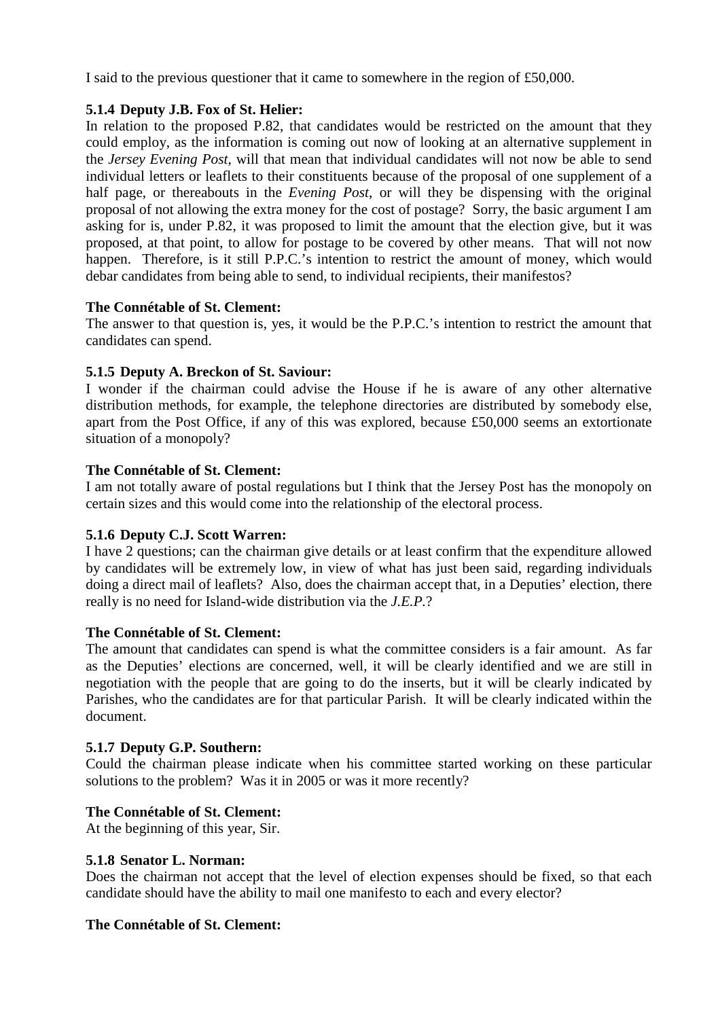I said to the previous questioner that it came to somewhere in the region of £50,000.

### **5.1.4 Deputy J.B. Fox of St. Helier:**

In relation to the proposed P.82, that candidates would be restricted on the amount that they could employ, as the information is coming out now of looking at an alternative supplement in the *Jersey Evening Post*, will that mean that individual candidates will not now be able to send individual letters or leaflets to their constituents because of the proposal of one supplement of a half page, or thereabouts in the *Evening Post*, or will they be dispensing with the original proposal of not allowing the extra money for the cost of postage? Sorry, the basic argument I am asking for is, under P.82, it was proposed to limit the amount that the election give, but it was proposed, at that point, to allow for postage to be covered by other means. That will not now happen. Therefore, is it still P.P.C.'s intention to restrict the amount of money, which would debar candidates from being able to send, to individual recipients, their manifestos?

### **The Connétable of St. Clement:**

The answer to that question is, yes, it would be the P.P.C.'s intention to restrict the amount that candidates can spend.

## **5.1.5 Deputy A. Breckon of St. Saviour:**

I wonder if the chairman could advise the House if he is aware of any other alternative distribution methods, for example, the telephone directories are distributed by somebody else, apart from the Post Office, if any of this was explored, because £50,000 seems an extortionate situation of a monopoly?

### **The Connétable of St. Clement:**

I am not totally aware of postal regulations but I think that the Jersey Post has the monopoly on certain sizes and this would come into the relationship of the electoral process.

# **5.1.6 Deputy C.J. Scott Warren:**

I have 2 questions; can the chairman give details or at least confirm that the expenditure allowed by candidates will be extremely low, in view of what has just been said, regarding individuals doing a direct mail of leaflets? Also, does the chairman accept that, in a Deputies' election, there really is no need for Island-wide distribution via the *J.E.P.*?

### **The Connétable of St. Clement:**

The amount that candidates can spend is what the committee considers is a fair amount. As far as the Deputies' elections are concerned, well, it will be clearly identified and we are still in negotiation with the people that are going to do the inserts, but it will be clearly indicated by Parishes, who the candidates are for that particular Parish. It will be clearly indicated within the document.

### **5.1.7 Deputy G.P. Southern:**

Could the chairman please indicate when his committee started working on these particular solutions to the problem? Was it in 2005 or was it more recently?

# **The Connétable of St. Clement:**

At the beginning of this year, Sir.

### **5.1.8 Senator L. Norman:**

Does the chairman not accept that the level of election expenses should be fixed, so that each candidate should have the ability to mail one manifesto to each and every elector?

### **The Connétable of St. Clement:**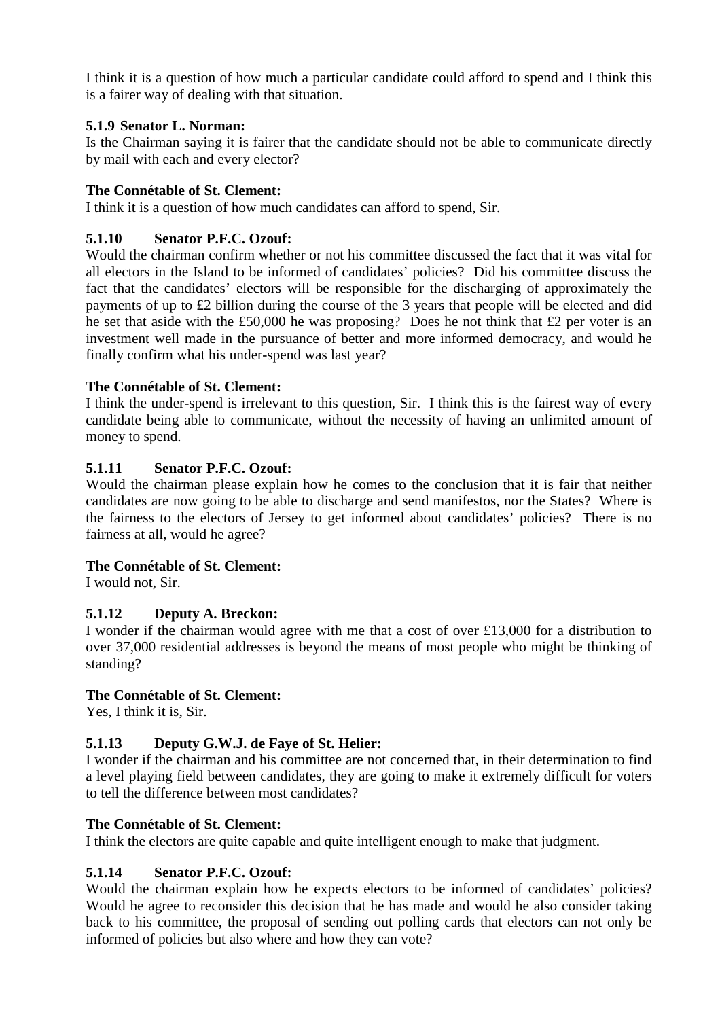I think it is a question of how much a particular candidate could afford to spend and I think this is a fairer way of dealing with that situation.

### **5.1.9 Senator L. Norman:**

Is the Chairman saying it is fairer that the candidate should not be able to communicate directly by mail with each and every elector?

## **The Connétable of St. Clement:**

I think it is a question of how much candidates can afford to spend, Sir.

## **5.1.10 Senator P.F.C. Ozouf:**

Would the chairman confirm whether or not his committee discussed the fact that it was vital for all electors in the Island to be informed of candidates' policies? Did his committee discuss the fact that the candidates' electors will be responsible for the discharging of approximately the payments of up to £2 billion during the course of the 3 years that people will be elected and did he set that aside with the £50,000 he was proposing? Does he not think that £2 per voter is an investment well made in the pursuance of better and more informed democracy, and would he finally confirm what his under-spend was last year?

## **The Connétable of St. Clement:**

I think the under-spend is irrelevant to this question, Sir. I think this is the fairest way of every candidate being able to communicate, without the necessity of having an unlimited amount of money to spend.

## **5.1.11 Senator P.F.C. Ozouf:**

Would the chairman please explain how he comes to the conclusion that it is fair that neither candidates are now going to be able to discharge and send manifestos, nor the States? Where is the fairness to the electors of Jersey to get informed about candidates' policies? There is no fairness at all, would he agree?

### **The Connétable of St. Clement:**

I would not, Sir.

### **5.1.12 Deputy A. Breckon:**

I wonder if the chairman would agree with me that a cost of over £13,000 for a distribution to over 37,000 residential addresses is beyond the means of most people who might be thinking of standing?

### **The Connétable of St. Clement:**

Yes, I think it is, Sir.

# **5.1.13 Deputy G.W.J. de Faye of St. Helier:**

I wonder if the chairman and his committee are not concerned that, in their determination to find a level playing field between candidates, they are going to make it extremely difficult for voters to tell the difference between most candidates?

### **The Connétable of St. Clement:**

I think the electors are quite capable and quite intelligent enough to make that judgment.

# **5.1.14 Senator P.F.C. Ozouf:**

Would the chairman explain how he expects electors to be informed of candidates' policies? Would he agree to reconsider this decision that he has made and would he also consider taking back to his committee, the proposal of sending out polling cards that electors can not only be informed of policies but also where and how they can vote?